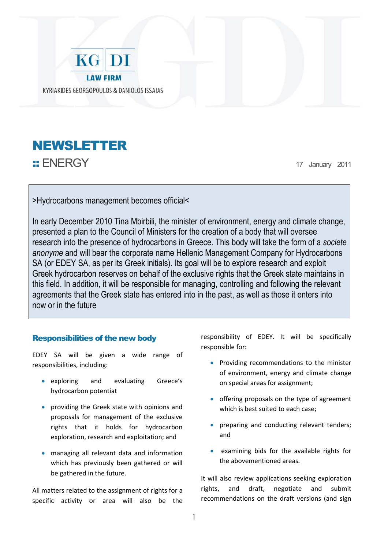



**::** ENERGY 17 January 2011

>Hydrocarbons management becomes official<

In early December 2010 Tina Mbirbili, the minister of environment, energy and climate change, presented a plan to the Council of Ministers for the creation of a body that will oversee research into the presence of hydrocarbons in Greece. This body will take the form of a *societe anonyme* and will bear the corporate name Hellenic Management Company for Hydrocarbons SA (or EDEY SA, as per its Greek initials). Its goal will be to explore research and exploit Greek hydrocarbon reserves on behalf of the exclusive rights that the Greek state maintains in this field. In addition, it will be responsible for managing, controlling and following the relevant agreements that the Greek state has entered into in the past, as well as those it enters into now or in the future

# Responsibilities of the new body

EDEY SA will be given a wide range of responsibilities, including:

- exploring and evaluating Greece's hydrocarbon potentiat
- providing the Greek state with opinions and proposals for management of the exclusive rights that it holds for hydrocarbon exploration, research and exploitation; and
- managing all relevant data and information which has previously been gathered or will be gathered in the future.

All matters related to the assignment of rights for a specific activity or area will also be the

responsibility of EDEY. It will be specifically responsible for:

- Providing recommendations to the minister of environment, energy and climate change on special areas for assignment;
- offering proposals on the type of agreement which is best suited to each case;
- preparing and conducting relevant tenders; and
- examining bids for the available rights for the abovementioned areas.

It will also review applications seeking exploration rights, and draft, negotiate and submit recommendations on the draft versions (and sign